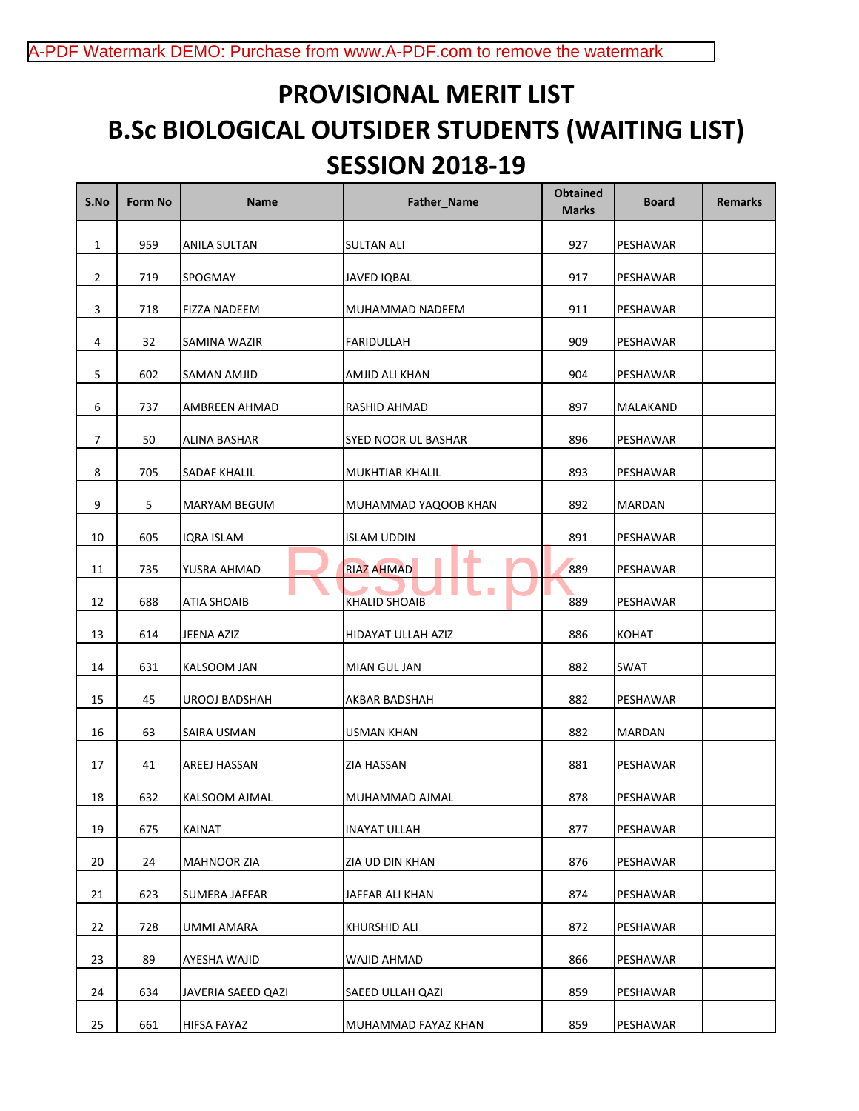## **PROVISIONAL MERIT LIST B.Sc BIOLOGICAL OUTSIDER STUDENTS (WAITING LIST) SESSION 2018-19**

| S.No           | Form No | <b>Name</b>         | Father_Name            | <b>Obtained</b><br><b>Marks</b> | <b>Board</b> | <b>Remarks</b> |
|----------------|---------|---------------------|------------------------|---------------------------------|--------------|----------------|
| $\mathbf{1}$   | 959     | ANILA SULTAN        | <b>SULTAN ALI</b>      | 927                             | PESHAWAR     |                |
| $\overline{2}$ | 719     | SPOGMAY             | <b>JAVED IQBAL</b>     | 917                             | PESHAWAR     |                |
| 3              | 718     | <b>FIZZA NADEEM</b> | MUHAMMAD NADEEM        | 911                             | PESHAWAR     |                |
| 4              | 32      | SAMINA WAZIR        | <b>FARIDULLAH</b>      | 909                             | PESHAWAR     |                |
| $\mathsf S$    | 602     | SAMAN AMJID         | AMJID ALI KHAN         | 904                             | PESHAWAR     |                |
| 6              | 737     | AMBREEN AHMAD       | RASHID AHMAD           | 897                             | MALAKAND     |                |
| 7              | 50      | ALINA BASHAR        | SYED NOOR UL BASHAR    | 896                             | PESHAWAR     |                |
| 8              | 705     | SADAF KHALIL        | MUKHTIAR KHALIL        | 893                             | PESHAWAR     |                |
| 9              | 5       | MARYAM BEGUM        | MUHAMMAD YAQOOB KHAN   | 892                             | MARDAN       |                |
| 10             | 605     | <b>IQRA ISLAM</b>   | <b>ISLAM UDDIN</b>     | 891                             | PESHAWAR     |                |
| 11             | 735     | YUSRA AHMAD         | ÷<br><b>RIAZ AHMAD</b> | 889                             | PESHAWAR     |                |
| 12             | 688     | ATIA SHOAIB         | <b>KHALID SHOAIB</b>   | 889                             | PESHAWAR     |                |
| 13             | 614     | JEENA AZIZ          | HIDAYAT ULLAH AZIZ     | 886                             | <b>KOHAT</b> |                |
| 14             | 631     | KALSOOM JAN         | MIAN GUL JAN           | 882                             | <b>SWAT</b>  |                |
| 15             | 45      | UROOJ BADSHAH       | AKBAR BADSHAH          | 882                             | PESHAWAR     |                |
| 16             | 63      | SAIRA USMAN         | USMAN KHAN             | 882                             | MARDAN       |                |
| 17             | 41      | AREEJ HASSAN        | <b>ZIA HASSAN</b>      | 881                             | PESHAWAR     |                |
| 18             | 632     | KALSOOM AJMAL       | MUHAMMAD AJMAL         | 878                             | PESHAWAR     |                |
| 19             | 675     | KAINAT              | <b>INAYAT ULLAH</b>    | 877                             | PESHAWAR     |                |
| 20             | 24      | <b>MAHNOOR ZIA</b>  | ZIA UD DIN KHAN        | 876                             | PESHAWAR     |                |
| 21             | 623     | SUMERA JAFFAR       | JAFFAR ALI KHAN        | 874                             | PESHAWAR     |                |
| 22             | 728     | UMMI AMARA          | KHURSHID ALI           | 872                             | PESHAWAR     |                |
| 23             | 89      | AYESHA WAJID        | <b>WAJID AHMAD</b>     | 866                             | PESHAWAR     |                |
| 24             | 634     | JAVERIA SAEED QAZI  | SAEED ULLAH QAZI       | 859                             | PESHAWAR     |                |
| 25             | 661     | HIFSA FAYAZ         | MUHAMMAD FAYAZ KHAN    | 859                             | PESHAWAR     |                |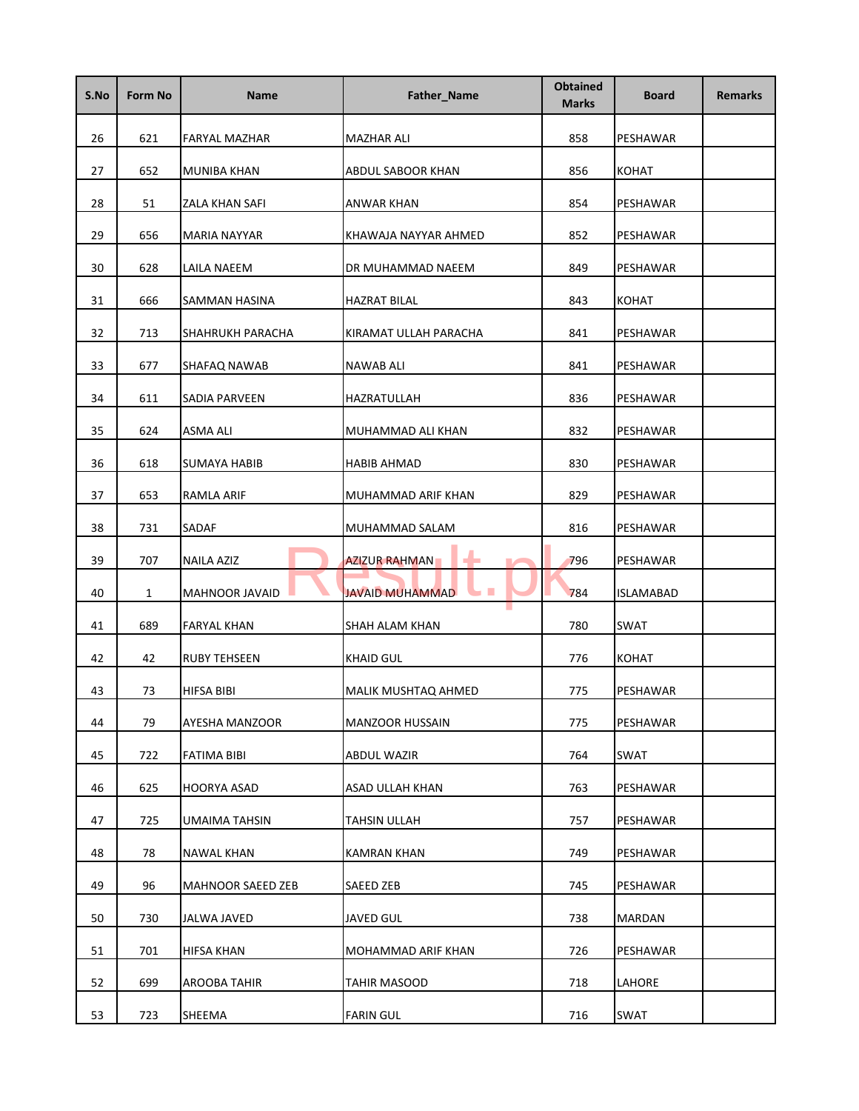| S.No | Form No | <b>Name</b>        | Father_Name                  | <b>Obtained</b><br><b>Marks</b> | <b>Board</b> | <b>Remarks</b> |
|------|---------|--------------------|------------------------------|---------------------------------|--------------|----------------|
| 26   | 621     | FARYAL MAZHAR      | MAZHAR ALI                   | 858                             | PESHAWAR     |                |
| 27   | 652     | MUNIBA KHAN        | ABDUL SABOOR KHAN            | 856                             | <b>KOHAT</b> |                |
| 28   | 51      | ZALA KHAN SAFI     | ANWAR KHAN                   | 854                             | PESHAWAR     |                |
| 29   | 656     | MARIA NAYYAR       | KHAWAJA NAYYAR AHMED         | 852                             | PESHAWAR     |                |
| 30   | 628     | LAILA NAEEM        | DR MUHAMMAD NAEEM            | 849                             | PESHAWAR     |                |
| 31   | 666     | SAMMAN HASINA      | <b>HAZRAT BILAL</b>          | 843                             | <b>KOHAT</b> |                |
| 32   | 713     | SHAHRUKH PARACHA   | KIRAMAT ULLAH PARACHA        | 841                             | PESHAWAR     |                |
| 33   | 677     | SHAFAQ NAWAB       | NAWAB ALI                    | 841                             | PESHAWAR     |                |
| 34   | 611     | SADIA PARVEEN      | HAZRATULLAH                  | 836                             | PESHAWAR     |                |
| 35   | 624     | ASMA ALI           | MUHAMMAD ALI KHAN            | 832                             | PESHAWAR     |                |
| 36   | 618     | SUMAYA HABIB       | HABIB AHMAD                  | 830                             | PESHAWAR     |                |
| 37   | 653     | <b>RAMLA ARIF</b>  | MUHAMMAD ARIF KHAN           | 829                             | PESHAWAR     |                |
| 38   | 731     | SADAF              | MUHAMMAD SALAM               | 816                             | PESHAWAR     |                |
| 39   | 707     | NAILA AZIZ         | <b>AZIZUR RAHMAN</b>         | 796                             | PESHAWAR     |                |
| 40   | 1       | MAHNOOR JAVAID     | <b>JAVAID MUHAMMAD</b><br>n. | 784                             | ISLAMABAD    |                |
| 41   | 689     | FARYAL KHAN        | SHAH ALAM KHAN               | 780                             | SWAT         |                |
| 42   | 42      | RUBY TEHSEEN       | <b>KHAID GUL</b>             | 776                             | KOHAT        |                |
| 43   | 73      | HIFSA BIBI         | MALIK MUSHTAQ AHMED          | 775                             | PESHAWAR     |                |
| 44   | 79      | AYESHA MANZOOR     | MANZOOR HUSSAIN              | 775                             | PESHAWAR     |                |
| 45   | 722     | <b>FATIMA BIBI</b> | <b>ABDUL WAZIR</b>           | 764                             | SWAT         |                |
| 46   | 625     | HOORYA ASAD        | ASAD ULLAH KHAN              | 763                             | PESHAWAR     |                |
| 47   | 725     | UMAIMA TAHSIN      | TAHSIN ULLAH                 | 757                             | PESHAWAR     |                |
| 48   | 78      | NAWAL KHAN         | <b>KAMRAN KHAN</b>           | 749                             | PESHAWAR     |                |
| 49   | 96      | MAHNOOR SAEED ZEB  | SAEED ZEB                    | 745                             | PESHAWAR     |                |
| 50   | 730     | JALWA JAVED        | <b>JAVED GUL</b>             | 738                             | MARDAN       |                |
| 51   | 701     | HIFSA KHAN         | MOHAMMAD ARIF KHAN           | 726                             | PESHAWAR     |                |
| 52   | 699     | AROOBA TAHIR       | <b>TAHIR MASOOD</b>          | 718                             | LAHORE       |                |
| 53   | 723     | SHEEMA             | <b>FARIN GUL</b>             | 716                             | SWAT         |                |